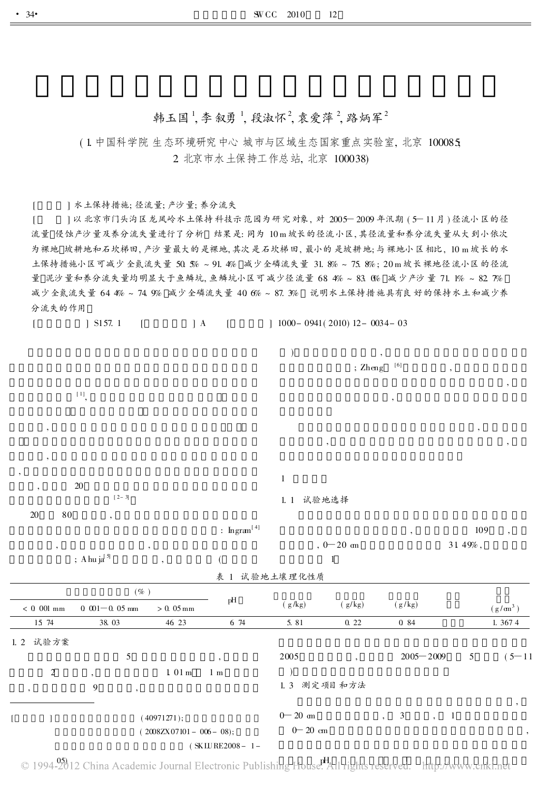# 韩玉国<sup>1</sup>,李叙勇<sup>1</sup>,段淑怀<sup>2</sup>,袁爱萍<sup>2</sup>,路炳军<sup>2</sup>

## ( 1. 中国科学院 生态环境研究中心 城市与区域生态国家重点实验室, 北京 100085; 2. 北京市水土保持工作总站, 北京 100038)

[ ] 水土保持措施; 径流量; 产沙量; 养分流失

] 以北京市门头沟区龙凤岭水土保持科技示范园为研究对象, 对 2005-2009年汛期 (5-11月) 径流小区的径 流量 侵蚀产沙量及养分流失量进行了分析 结果是: 同为 10 m 坡长的径流小区, 其径流量和养分流失量从大到小依次 为裸地 坡耕地和石坎梯田, 产沙量最大的是裸地, 其次是石坎梯田, 最小的是坡耕地; 与裸地小区相比, 10 m 坡长的水 土保持措施小区可减少全氮流失量 50. 5% ~ 91. 4% 减少全磷流失量 31. 8% ~ 75. 8% ; 20 m 坡长裸地径流小区的径流 量 泥沙量和养分流失量均明显大于鱼鳞坑, 鱼鳞坑小区可减少径流量 68. 4% ~ 83. 0% 减少产沙量 71. 1% ~ 82. 7% 减少全氮流失量 64. 4% ~ 74. 9% 减少全磷流失量 40. 6% ~ 87. 3% 说明水土保持措施具有良好的保持水土和减少养 分流失的作用

| L                                   | $\int$ S157. 1<br>$\lceil$           | $\parallel$ A               | $\left\lbrack \right\rbrack$ | $1000 - 0941(2010) 12 - 0034 - 03$ |                          |                                                                                                                                                                                                                                                                                                                                                                                                                                                                                                                                                                             |                         |            |
|-------------------------------------|--------------------------------------|-----------------------------|------------------------------|------------------------------------|--------------------------|-----------------------------------------------------------------------------------------------------------------------------------------------------------------------------------------------------------------------------------------------------------------------------------------------------------------------------------------------------------------------------------------------------------------------------------------------------------------------------------------------------------------------------------------------------------------------------|-------------------------|------------|
|                                     |                                      |                             |                              | $\mathcal{E}$                      | $;$ $Z$ heng             | $[6] \centering% \includegraphics[width=1.0\textwidth]{figs/fig_0a.pdf} \includegraphics[width=1.0\textwidth]{figs/fig_0b.pdf} \includegraphics[width=1.0\textwidth]{figs/fig_0b.pdf} \includegraphics[width=1.0\textwidth]{figs/fig_0b.pdf} \includegraphics[width=1.0\textwidth]{figs/fig_0b.pdf} \includegraphics[width=1.0\textwidth]{figs/fig_0b.pdf} \includegraphics[width=1.0\textwidth]{figs/fig_0b.pdf} \includegraphics[width=1.0\textwidth]{figs/fig_0b.pdf} \includegraphics[width=1.0\textwidth]{figs/fig_0b.pdf} \includegraphics[width=1.0\textwidth]{figs$ |                         |            |
|                                     | $[1]$ ,                              |                             |                              |                                    |                          | ,                                                                                                                                                                                                                                                                                                                                                                                                                                                                                                                                                                           |                         |            |
| $^\bullet$                          |                                      |                             |                              |                                    | ,                        |                                                                                                                                                                                                                                                                                                                                                                                                                                                                                                                                                                             |                         |            |
| $^\circ$                            |                                      |                             |                              |                                    |                          |                                                                                                                                                                                                                                                                                                                                                                                                                                                                                                                                                                             |                         |            |
|                                     | $20\,$                               |                             |                              | $\,1\,$                            |                          |                                                                                                                                                                                                                                                                                                                                                                                                                                                                                                                                                                             |                         |            |
|                                     | $[2-3]$                              |                             |                              | 1.1 试验地选择                          |                          |                                                                                                                                                                                                                                                                                                                                                                                                                                                                                                                                                                             |                         |            |
| $20\,$                              | $\bf 80$<br>$\overline{\phantom{a}}$ |                             | : $\text{Ingram}^{[4]}$      |                                    |                          |                                                                                                                                                                                                                                                                                                                                                                                                                                                                                                                                                                             | 109                     |            |
|                                     |                                      | $,$                         |                              | $, 0 - 20$ cm                      |                          |                                                                                                                                                                                                                                                                                                                                                                                                                                                                                                                                                                             | $31\,$ $49\%$ ,         |            |
|                                     | ; A hu ja $^{[5]}$                   | ,                           |                              | $\mathbf{1}$<br>表 1 试验地土壤理化性质      |                          |                                                                                                                                                                                                                                                                                                                                                                                                                                                                                                                                                                             |                         |            |
|                                     | $(\% )$                              |                             |                              |                                    |                          |                                                                                                                                                                                                                                                                                                                                                                                                                                                                                                                                                                             |                         |            |
| $<\,0\,$ 001 mm                     | $0 \t001 - 0 \t05 \tmm$              | $>0.05\,\mathrm{mm}$        | $\rm pH$                     | ( g/kg)                            | (g/kg)                   | (g/kg)                                                                                                                                                                                                                                                                                                                                                                                                                                                                                                                                                                      |                         | $(g/m^3)$  |
| 15 74                               | 38.03                                | 46 23                       | 6 74                         | 5.81                               | 0.22                     | 0 84                                                                                                                                                                                                                                                                                                                                                                                                                                                                                                                                                                        |                         | 1.3674     |
| 1.2 试验方案                            |                                      |                             |                              |                                    |                          |                                                                                                                                                                                                                                                                                                                                                                                                                                                                                                                                                                             |                         |            |
|                                     | $\sqrt{5}$                           |                             |                              | $2005\,$                           | $\overline{\phantom{a}}$ | $2005 - 2009$                                                                                                                                                                                                                                                                                                                                                                                                                                                                                                                                                               | 5                       | $(5 - 11)$ |
| $\sqrt{2}$                          |                                      | $1\,$ $01\,{\rm m}$         | $1 \text{ m}$                | $\lambda$                          |                          |                                                                                                                                                                                                                                                                                                                                                                                                                                                                                                                                                                             |                         |            |
| $^\circ$                            | $\boldsymbol{9}$<br>$, \,$           |                             |                              |                                    | 1.3 测定项目和方法              |                                                                                                                                                                                                                                                                                                                                                                                                                                                                                                                                                                             |                         |            |
| L<br>$\begin{array}{c} \end{array}$ |                                      | (40971271);                 |                              | $0\!\!-\!20$ $\textrm{cm}$         |                          | $\mathfrak{Z}$<br>$\ddot{\phantom{0}}$                                                                                                                                                                                                                                                                                                                                                                                                                                                                                                                                      | $\mathbf{1}$<br>$\cdot$ | $^\circ$   |
|                                     |                                      | $(2008ZX07101 - 006 - 08);$ |                              | $0\!\!-\!20$ cm                    |                          |                                                                                                                                                                                                                                                                                                                                                                                                                                                                                                                                                                             |                         | $^\circ$   |
|                                     |                                      |                             | $(KIUPRE2008 - 1 -$          |                                    |                          |                                                                                                                                                                                                                                                                                                                                                                                                                                                                                                                                                                             |                         |            |

05) 12 China Academic Loured Floatronic Publishing Hause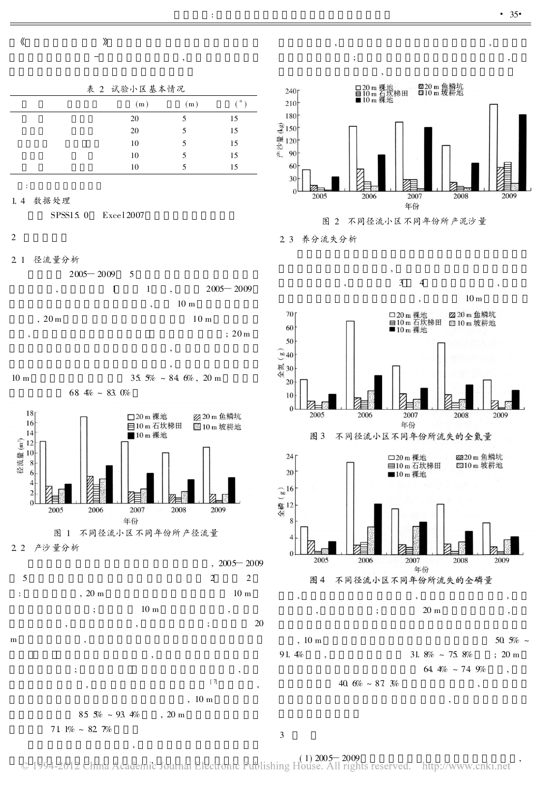

表 2 试验小区基本情况

,

| (m) | (m) | $\sim$ |
|-----|-----|--------|
| 20  | 5   | 15     |
| 20  | 5   | 15     |
| 10  | 5   | 15     |
| 10  | 5   | 15     |
| 10  | 5   | 15     |

:

1. 4 数据处理

SPSS15.0 Excel 2007

$$
2^{-}
$$

2. 1 径流量分析

 $2005 - 2009$  5





2. 2 产沙量分析



 $85.5% \sim 93.4%$ , 20 m 71  $1\% \sim 82.7\%$ 

,



,  $\overline{\phantom{a}}$ 

; ,

2. 3 养分流失分析



3

 $(1)$   $2005 - 2009$ <br>beliably  $(1)$   $2005 - 2009$ 

,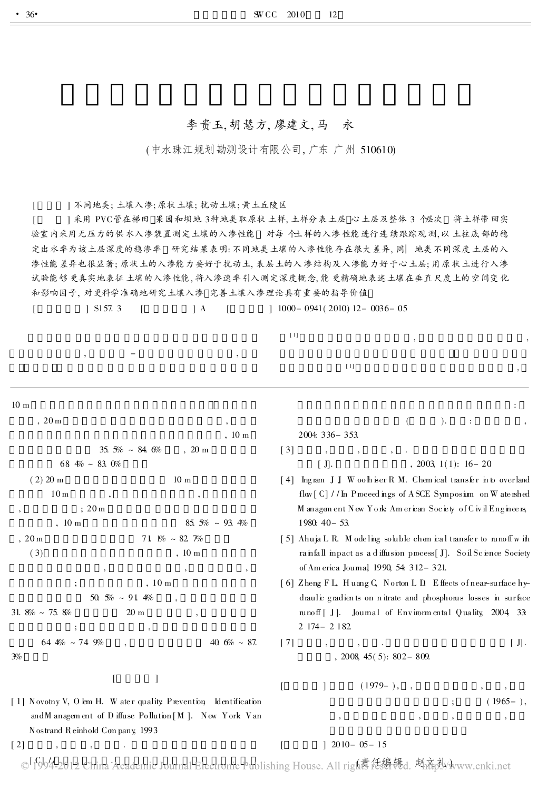#### 李贵玉, 胡慧方, 廖建文, 马 永

(中水珠江规划勘测设计有限公司, 广东 广州 510610)

[ ] 不同地类; 土壤入渗; 原状土壤; 扰动土壤; 黄土丘陵区

[ ] 采用 PVC管在梯田 果园和坝地 3种地类取原状土样, 土样分表土层 心土层及整体 3个层次 将土样带回实 验室内采用无压力的供水入渗装置测定土壤的入渗性能 对每个土样的入渗性能进行连续跟踪观测, 以土柱底部的稳 定出水率为该土层深度的稳渗率 研究结果表明: 不同地类土壤的入渗性能存在很大差异, 同一地类不同深度土层的入 渗性能差异也很显著; 原状土的入渗能力要好于扰动土, 表层土的入渗结构及入渗能力好于心土层; 用原状土进行入渗 试验能够更真实地表征土壤的入渗性能, 将入渗速率引入测定深度概念, 能更精确地表述土壤在垂直尺度上的空间变化 和影响因子, 对更科学准确地研究土壤入渗 完善土壤入渗理论具有重要的指导价值

[ ] S157. 3 [ ] A [ ] 1000- 0941( 2010) 12- 0036- 05

10 m , 20 m , , 10 m 35.  $5\% \sim 84.6\%$ , 20 m 68  $4% \sim 83.0%$  $(2) 20 m$  10 m  $10<sub>m</sub>$ , ; 20 m , 10 m 85.  $5\% \sim 93.4\%$ ,  $20 \text{ m}$  71  $\frac{10}{6} \approx 82.7\%$  $(3)$ ,  $10 \text{ m}$ , , , ; , 10 m 50.  $\frac{50}{10}$  ~ 91. 4% 31.  $8\% \sim 75.8\%$  20 m  $\; ; \; \; \; \; \; \; , \; \; \; \; \; \; \; \; ,$  $64.4\% \sim 74.9\%$  ,  $40.6\% \sim 87.$ 3%  $[$   $]$ [ 1] Novotny V, O lem H. W ater quality: Prevention, Identification andM anagem ent of D iffuse Po llution [ M ]. New York: Van Nostrand Reinhold Com pany, 1993.  $[2]$ [Glo]/\_2012 China Academic Journal Electronic Publishing House, All righ袁低编辑d, 赵齐祉 :  $($  ). : , 2004: 336- 353.  $\lceil 3 \rceil$  $\boxed{J}.$  , 2003, 1(1): 16 – 20 [4] Ingram J J, W oo h is er R M. Chem ical transfer in to overland flow [C] //In Proceed ings of ASCE Symposium on W atenshed M anagem ent. New York: Am erican Society of C ivil Engineers, 1980: 40- 53. [5] Ahuja L R. M odeling so luble chem ical transfer to runoff w ith ra infall impact as a d iffusion process[J]. So il Science Society of Am erica Journal, 1990, 54: 312-321. [ 6] Zheng F L, H uang C, N orton L D. Effects of near-surface hydraulic gradients on nitrate and phosphorus losses in surface runo ff [ J]. Journal of Environm ental Quality,  $2004$  33: 2 174- 2 182. [ 7] , , . [ J] . , 2008, 45( 5): 802- 809.  $[$   $]$   $(1979-)$ , ,  $(1965- )$ , , , , ,  $[$   $]$  2010- 05- 15 ,  $-$  ,  $-$ [ 1] , , [ 1] ,